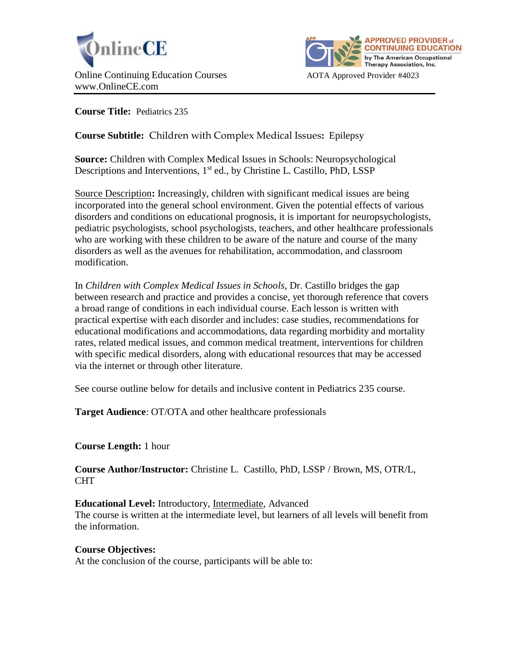



**Course Title:** Pediatrics 235

# **Course Subtitle:** Children with Complex Medical Issues**:** Epilepsy

**Source:** Children with Complex Medical Issues in Schools: Neuropsychological Descriptions and Interventions, 1<sup>st</sup> ed., by Christine L. Castillo, PhD, LSSP

Source Description**:** Increasingly, children with significant medical issues are being incorporated into the general school environment. Given the potential effects of various disorders and conditions on educational prognosis, it is important for neuropsychologists, pediatric psychologists, school psychologists, teachers, and other healthcare professionals who are working with these children to be aware of the nature and course of the many disorders as well as the avenues for rehabilitation, accommodation, and classroom modification.

In *Children with Complex Medical Issues in Schools*, Dr. Castillo bridges the gap between research and practice and provides a concise, yet thorough reference that covers a broad range of conditions in each individual course. Each lesson is written with practical expertise with each disorder and includes: case studies, recommendations for educational modifications and accommodations, data regarding morbidity and mortality rates, related medical issues, and common medical treatment, interventions for children with specific medical disorders, along with educational resources that may be accessed via the internet or through other literature.

See course outline below for details and inclusive content in Pediatrics 235 course.

**Target Audience**: OT/OTA and other healthcare professionals

# **Course Length:** 1 hour

**Course Author/Instructor:** Christine L. Castillo, PhD, LSSP / Brown, MS, OTR/L, CHT

**Educational Level:** Introductory, Intermediate, Advanced The course is written at the intermediate level, but learners of all levels will benefit from the information.

#### **Course Objectives:**

At the conclusion of the course, participants will be able to: